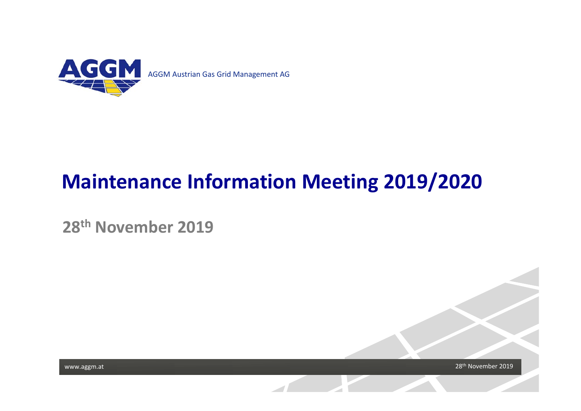

# **Maintenance Information Meeting 2019/2020**

**28th November 2019**

28<sup>th</sup> November 2019

www.aggm.at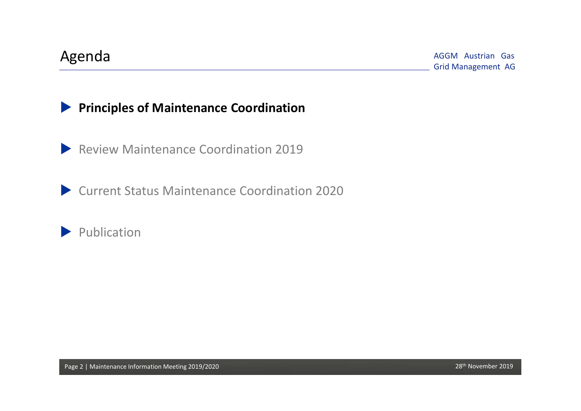#### **Principles of Maintenance Coordination**

**Review Maintenance Coordination 2019** 

Current Status Maintenance Coordination 2020

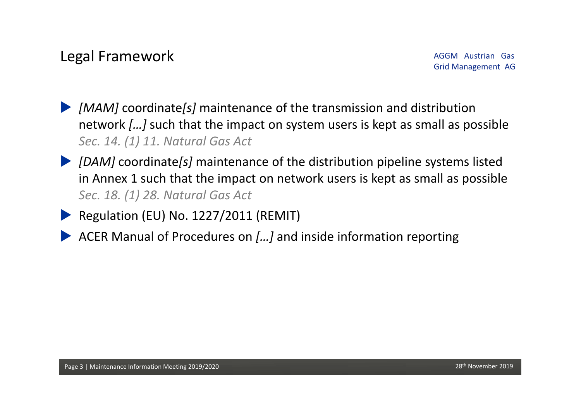- *[MAM]* coordinate*[s]* maintenance of the transmission and distribution network *[…]* such that the impact on system users is kept as small as possible *Sec. 14. (1) 11. Natural Gas Act*
- *[DAM]* coordinate*[s]* maintenance of the distribution pipeline systems listed in Annex 1 such that the impact on network users is kept as small as possible *Sec. 18. (1) 28. Natural Gas Act*
	- Regulation (EU) No. 1227/2011 (REMIT)
	- ACER Manual of Procedures on *[…]* and inside information reporting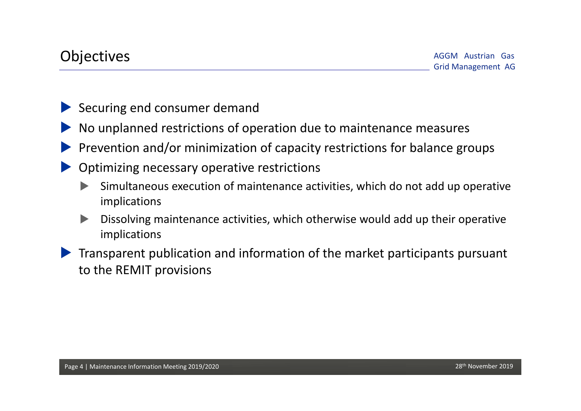- Securing end consumer demand
- No unplanned restrictions of operation due to maintenance measures
- Prevention and/or minimization of capacity restrictions for balance groups
- Optimizing necessary operative restrictions
	- Simultaneous execution of maintenance activities, which do not add up operative implications
	- Dissolving maintenance activities, which otherwise would add up their operative implications
- Transparent publication and information of the market participants pursuant to the REMIT provisions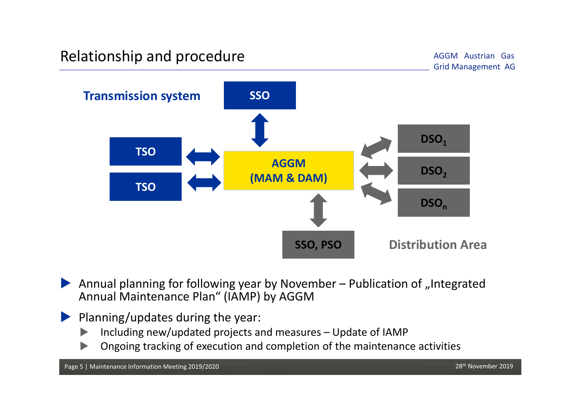## Relationship and procedure<br>
Grid Management AG Grid Management AG

AGGM Austrian Gas



Annual planning for following year by November - Publication of "Integrated Annual Maintenance Plan" (IAMP) by AGGM

#### Planning/updates during the year:

- $\blacktriangleright$ Including new/updated projects and measures – Update of IAMP
- $\blacktriangleright$ Ongoing tracking of execution and completion of the maintenance activities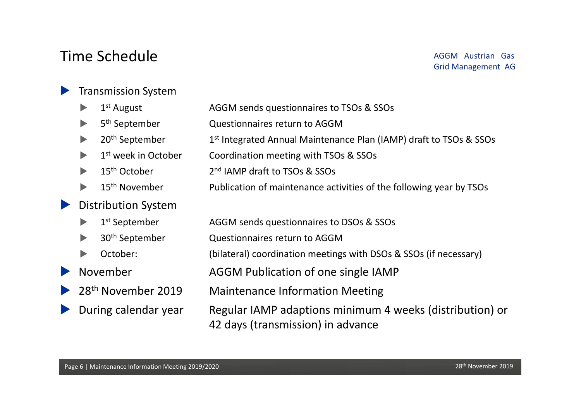## Time Schedule

#### **Transmission System**

|                       | $\blacktriangleright$          | $1st$ August                    | AGGM sends questionnaires to TSOs & SSOs                                                      |
|-----------------------|--------------------------------|---------------------------------|-----------------------------------------------------------------------------------------------|
|                       |                                | 5 <sup>th</sup> September       | Questionnaires return to AGGM                                                                 |
|                       |                                | 20 <sup>th</sup> September      | 1 <sup>st</sup> Integrated Annual Maintenance Plan (IAMP) draft to TSOs & SSOs                |
|                       |                                | 1 <sup>st</sup> week in October | Coordination meeting with TSOs & SSOs                                                         |
|                       | $\blacktriangleright$          | 15 <sup>th</sup> October        | 2 <sup>nd</sup> IAMP draft to TSOs & SSOs                                                     |
|                       |                                | 15 <sup>th</sup> November       | Publication of maintenance activities of the following year by TSOs                           |
| $\blacktriangleright$ |                                | <b>Distribution System</b>      |                                                                                               |
|                       | $\blacktriangleright$          | 1 <sup>st</sup> September       | AGGM sends questionnaires to DSOs & SSOs                                                      |
|                       | $\blacktriangleright$          | 30 <sup>th</sup> September      | Questionnaires return to AGGM                                                                 |
|                       | $\blacktriangleright$          | October:                        | (bilateral) coordination meetings with DSOs & SSOs (if necessary)                             |
| $\blacktriangleright$ | November                       |                                 | AGGM Publication of one single IAMP                                                           |
| $\blacktriangleright$ | 28 <sup>th</sup> November 2019 |                                 | <b>Maintenance Information Meeting</b>                                                        |
| $\blacktriangleright$ | During calendar year           |                                 | Regular IAMP adaptions minimum 4 weeks (distribution) or<br>42 days (transmission) in advance |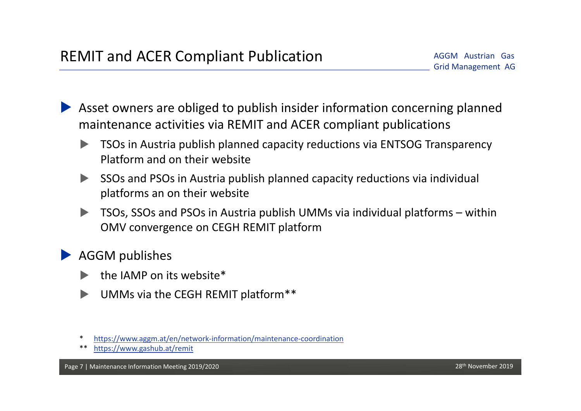Asset owners are obliged to publish insider information concerning planned maintenance activities via REMIT and ACER compliant publications

- TSOs in Austria publish planned capacity reductions via ENTSOG Transparency Platform and on their website
- SSOs and PSOs in Austria publish planned capacity reductions via individual platforms an on their website
- TSOs, SSOs and PSOs in Austria publish UMMs via individual platforms within OMV convergence on CEGH REMIT platform

AGGM publishes

- the IAMP on its website\*
- UMMs via the CEGH REMIT platform\*\*
- \*https://www.aggm.at/en/network‐information/maintenance‐coordination
- \*\* https://www.gashub.at/remit

Page 7 | Maintenance Information Meeting 2019/2020 28th November 2019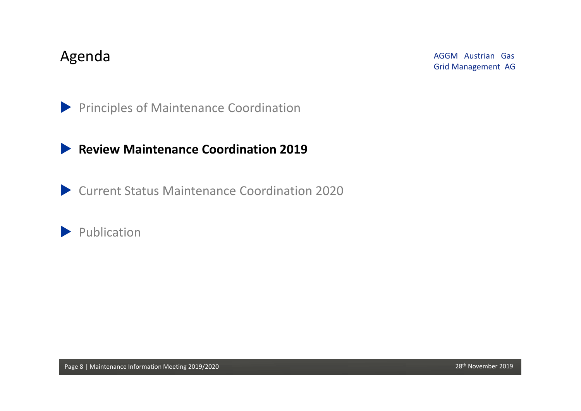AGGM Austrian Gas Grid Management AG Agenda

**Principles of Maintenance Coordination** 

#### **Review Maintenance Coordination 2019**

Current Status Maintenance Coordination 2020

Publication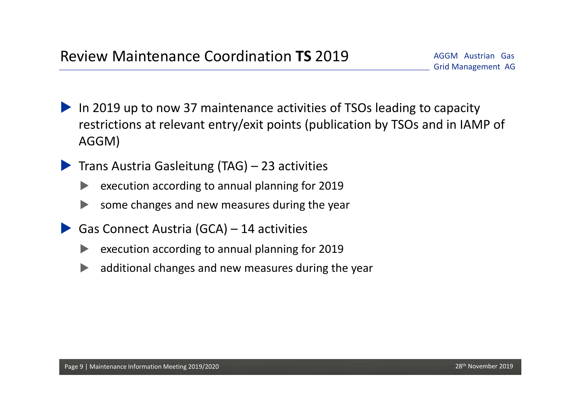- In 2019 up to now 37 maintenance activities of TSOs leading to capacity restrictions at relevant entry/exit points (publication by TSOs and in IAMP of AGGM)
- Trans Austria Gasleitung (TAG) 23 activities
	- execution according to annual planning for 2019
	- some changes and new measures during the year
- Gas Connect Austria (GCA) 14 activities
	- execution according to annual planning for 2019
	- additional changes and new measures during the year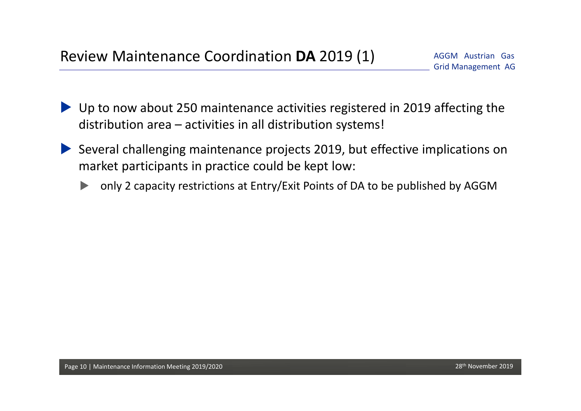- ▶ Up to now about 250 maintenance activities registered in 2019 affecting the distribution area – activities in all distribution systems!
- Several challenging maintenance projects 2019, but effective implications on market participants in practice could be kept low:
	- only 2 capacity restrictions at Entry/Exit Points of DA to be published by AGGM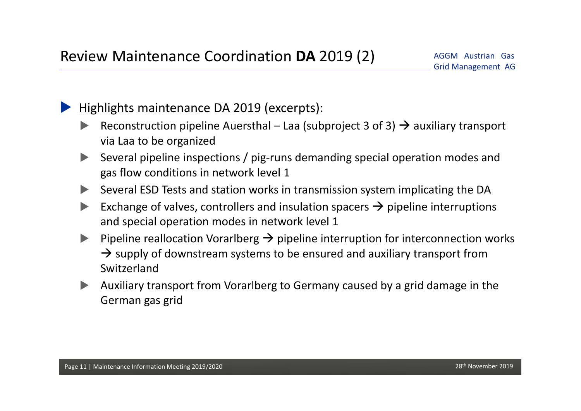Highlights maintenance DA 2019 (excerpts):

- Reconstruction pipeline Auersthal Laa (subproject 3 of 3)  $\rightarrow$  auxiliary transport via Laa to be organized
- Several pipeline inspections / pig‐runs demanding special operation modes and gas flow conditions in network level 1
- Several ESD Tests and station works in transmission system implicating the DA
- Exchange of valves, controllers and insulation spacers  $\rightarrow$  pipeline interruptions and special operation modes in network level 1
- **Pipeline reallocation Vorarlberg**  $\rightarrow$  **pipeline interruption for interconnection works**  $\rightarrow$  supply of downstream systems to be ensured and auxiliary transport from Switzerland
- Auxiliary transport from Vorarlberg to Germany caused by a grid damage in the German gas grid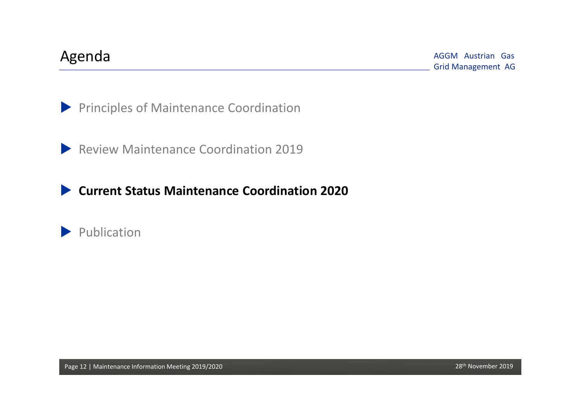AGGM Austrian Gas Grid Management AG Agenda

**Principles of Maintenance Coordination** 

**Review Maintenance Coordination 2019** 

**Current Status Maintenance Coordination 2020**

Publication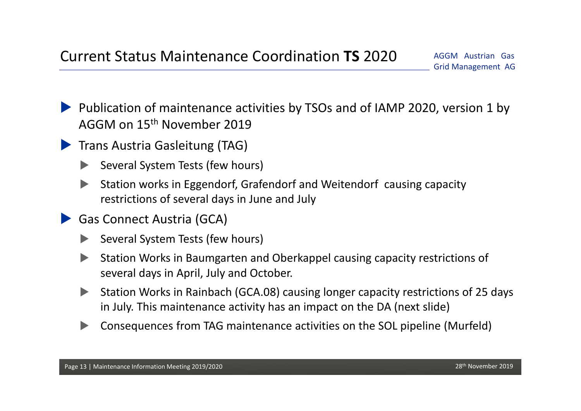- Publication of maintenance activities by TSOs and of IAMP 2020, version 1 by AGGM on 15th November 2019
- **Trans Austria Gasleitung (TAG)** 
	- Several System Tests (few hours)
	- Station works in Eggendorf, Grafendorf and Weitendorf causing capacity restrictions of several days in June and July
	- Gas Connect Austria (GCA)
		- Several System Tests (few hours)
		- Station Works in Baumgarten and Oberkappel causing capacity restrictions of several days in April, July and October.
		- Station Works in Rainbach (GCA.08) causing longer capacity restrictions of 25 days in July. This maintenance activity has an impact on the DA (next slide)
		- Consequences from TAG maintenance activities on the SOL pipeline (Murfeld)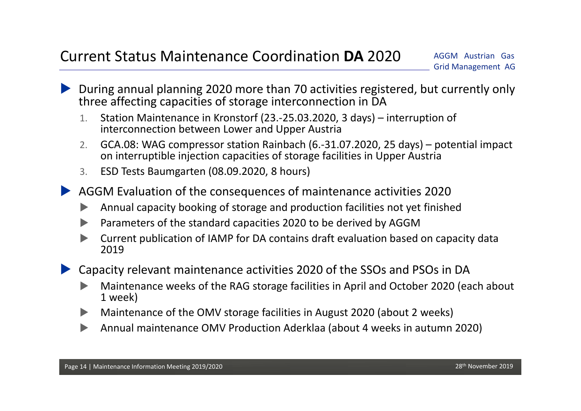- During annual planning 2020 more than 70 activities registered, but currently only three affecting capacities of storage interconnection in DA
	- 1. Station Maintenance in Kronstorf (23.‐25.03.2020, 3 days) – interruption of interconnection between Lower and Upper Austria
	- 2. GCA.08: WAG compressor station Rainbach (6.‐31.07.2020, 25 days) – potential impact on interruptible injection capacities of storage facilities in Upper Austria
	- 3.ESD Tests Baumgarten (08.09.2020, 8 hours)
- AGGM Evaluation of the consequences of maintenance activities 2020
	- $\blacktriangleright$ Annual capacity booking of storage and production facilities not yet finished
	- $\blacktriangleright$ Parameters of the standard capacities 2020 to be derived by AGGM
	- $\blacktriangleright$  Current publication of IAMP for DA contains draft evaluation based on capacity data 2019
- Capacity relevant maintenance activities 2020 of the SSOs and PSOs in DA
	- $\blacktriangleright$  Maintenance weeks of the RAG storage facilities in April and October 2020 (each about 1 week)
	- $\blacktriangleright$ Maintenance of the OMV storage facilities in August 2020 (about 2 weeks)
	- $\blacktriangleright$ Annual maintenance OMV Production Aderklaa (about 4 weeks in autumn 2020)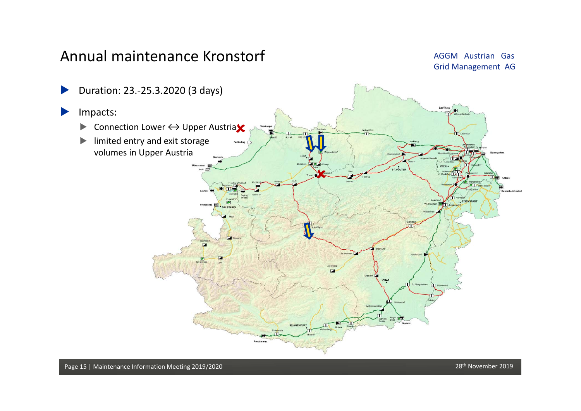### Annual maintenance Kronstorf

AGGM Austrian Gas Grid Management AG

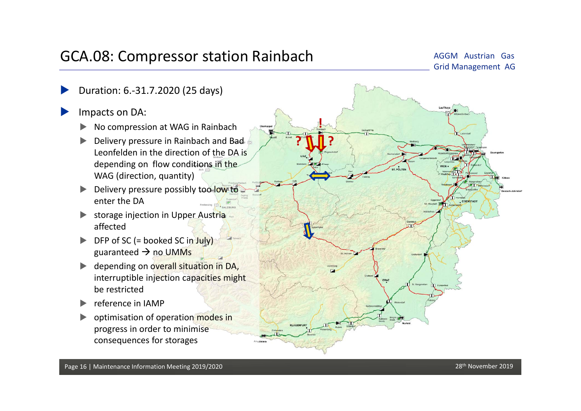## GCA.08: Compressor station Rainbach<br>
Grid Management AG

## AGGM Austrian Gas

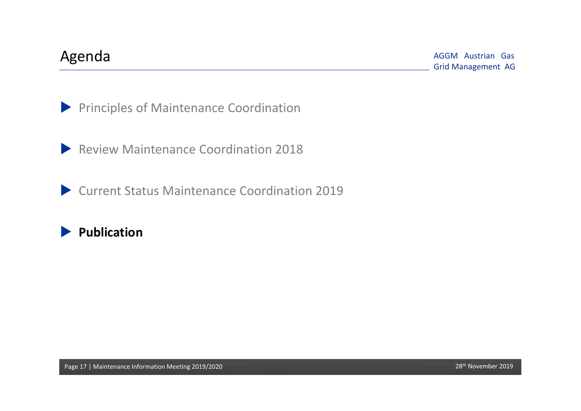AGGM Austrian Gas Grid Management AG Agenda

**Principles of Maintenance Coordination** 

**Review Maintenance Coordination 2018** 

Current Status Maintenance Coordination 2019

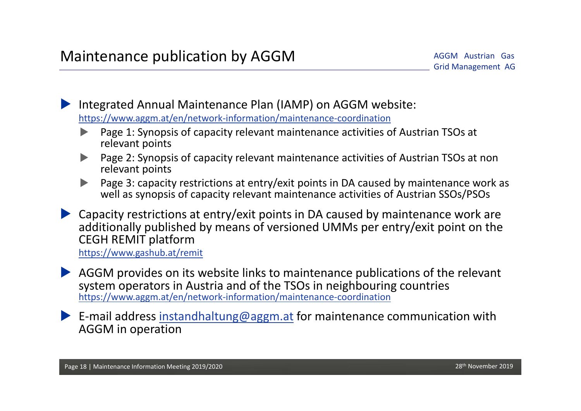Integrated Annual Maintenance Plan (IAMP) on AGGM website: https://www.aggm.at/en/network‐information/maintenance‐coordination

- $\blacktriangleright$  Page 1: Synopsis of capacity relevant maintenance activities of Austrian TSOs at relevant points
- $\blacktriangleright$  Page 2: Synopsis of capacity relevant maintenance activities of Austrian TSOs at non relevant points
- $\blacktriangleright$  Page 3: capacity restrictions at entry/exit points in DA caused by maintenance work as well as synopsis of capacity relevant maintenance activities of Austrian SSOs/PSOs
- Capacity restrictions at entry/exit points in DA caused by maintenance work are additionally published by means of versioned UMMs per entry/exit point on the CEGH REMIT platform

https://www.gashub.at/remit

- AGGM provides on its website links to maintenance publications of the relevant system operators in Austria and of the TSOs in neighbouring countries https://www.aggm.at/en/network‐information/maintenance‐coordination
- E-mail address instandhaltung@aggm.at for maintenance communication with AGGM in operation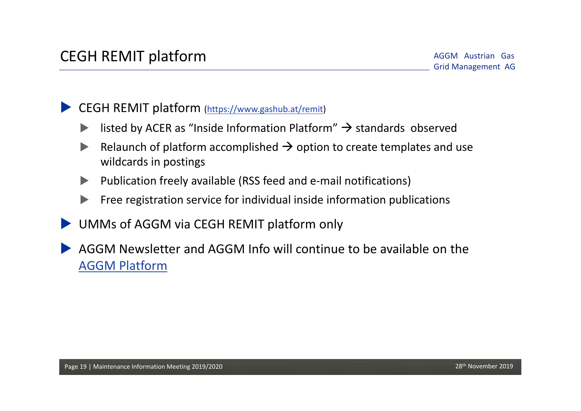CEGH REMIT platform (https://www.gashub.at/remit)

- isted by ACER as "Inside Information Platform"  $\rightarrow$  standards observed
- Relaunch of platform accomplished  $\rightarrow$  option to create templates and use wildcards in postings
- Publication freely available (RSS feed and e‐mail notifications)
- Free registration service for individual inside information publications
- UMMs of AGGM via CEGH REMIT platform only
- AGGM Newsletter and AGGM Info will continue to be available on the AGGM Platform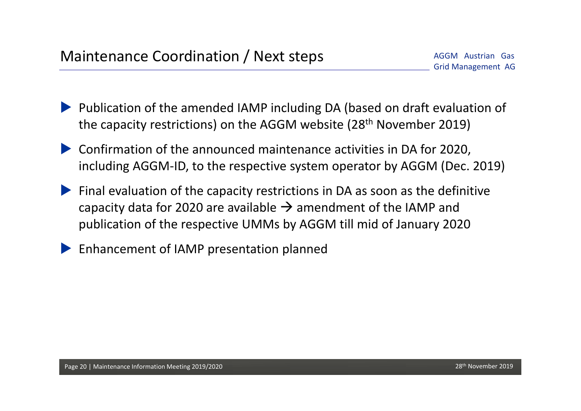- Publication of the amended IAMP including DA (based on draft evaluation of the capacity restrictions) on the AGGM website (28<sup>th</sup> November 2019)
- Confirmation of the announced maintenance activities in DA for 2020, including AGGM‐ID, to the respective system operator by AGGM (Dec. 2019)
- Final evaluation of the capacity restrictions in DA as soon as the definitive capacity data for 2020 are available  $\rightarrow$  amendment of the IAMP and publication of the respective UMMs by AGGM till mid of January 2020
- Enhancement of IAMP presentation planned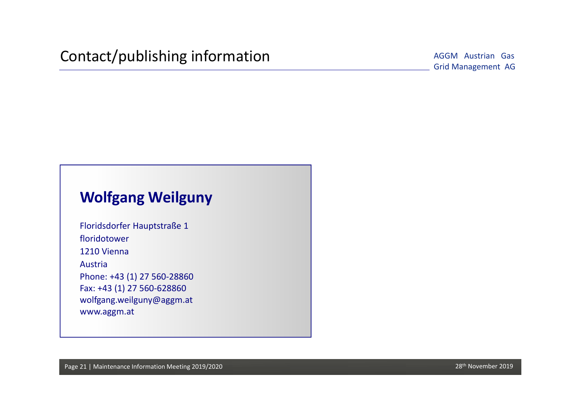AGGM Austrian Gas

### **Wolfgang Weilguny**

Floridsdorfer Hauptstraße 1 floridotower1210 ViennaAustriaPhone: +43 (1) 27 560‐28860 Fax: +43 (1) 27 560‐628860 wolfgang.weilguny@aggm.at www.aggm.at

Page 21 | Maintenance Information Meeting 2019/2020 28th November 2019